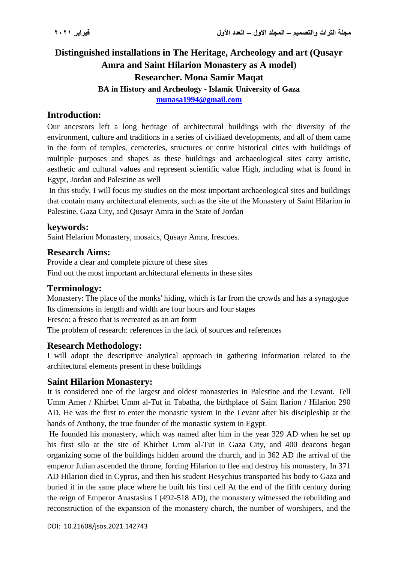# **Distinguished installations in The Heritage, Archeology and art (Qusayr Amra and Saint Hilarion Monastery as A model) Researcher. Mona Samir Maqat BA in History and Archeology - Islamic University of Gaza [munasa1994@gmail.com](mailto:munasa1994@gmail.com)**

### **Introduction:**

Our ancestors left a long heritage of architectural buildings with the diversity of the environment, culture and traditions in a series of civilized developments, and all of them came in the form of temples, cemeteries, structures or entire historical cities with buildings of multiple purposes and shapes as these buildings and archaeological sites carry artistic, aesthetic and cultural values and represent scientific value High, including what is found in Egypt, Jordan and Palestine as well

In this study, I will focus my studies on the most important archaeological sites and buildings that contain many architectural elements, such as the site of the Monastery of Saint Hilarion in Palestine, Gaza City, and Qusayr Amra in the State of Jordan

#### **keywords:**

Saint Helarion Monastery, mosaics, Qusayr Amra, frescoes.

#### **Research Aims:**

Provide a clear and complete picture of these sites Find out the most important architectural elements in these sites

#### **Terminology:**

Monastery: The place of the monks' hiding, which is far from the crowds and has a synagogue Its dimensions in length and width are four hours and four stages Fresco: a fresco that is recreated as an art form The problem of research: references in the lack of sources and references

#### **Research Methodology:**

I will adopt the descriptive analytical approach in gathering information related to the architectural elements present in these buildings

#### **Saint Hilarion Monastery:**

It is considered one of the largest and oldest monasteries in Palestine and the Levant. Tell Umm Amer / Khirbet Umm al-Tut in Tabatha, the birthplace of Saint Ilarion / Hilarion 290 AD. He was the first to enter the monastic system in the Levant after his discipleship at the hands of Anthony, the true founder of the monastic system in Egypt.

He founded his monastery, which was named after him in the year 329 AD when he set up his first silo at the site of Khirbet Umm al-Tut in Gaza City, and 400 deacons began organizing some of the buildings hidden around the church, and in 362 AD the arrival of the emperor Julian ascended the throne, forcing Hilarion to flee and destroy his monastery, In 371 AD Hilarion died in Cyprus, and then his student Hesychius transported his body to Gaza and buried it in the same place where he built his first cell At the end of the fifth century during the reign of Emperor Anastasius I (492-518 AD), the monastery witnessed the rebuilding and reconstruction of the expansion of the monastery church, the number of worshipers, and the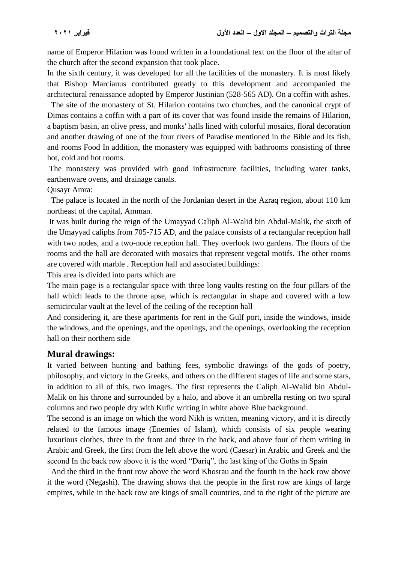name of Emperor Hilarion was found written in a foundational text on the floor of the altar of the church after the second expansion that took place.

In the sixth century, it was developed for all the facilities of the monastery. It is most likely that Bishop Marcianus contributed greatly to this development and accompanied the architectural renaissance adopted by Emperor Justinian (528-565 AD). On a coffin with ashes.

 The site of the monastery of St. Hilarion contains two churches, and the canonical crypt of Dimas contains a coffin with a part of its cover that was found inside the remains of Hilarion, a baptism basin, an olive press, and monks' halls lined with colorful mosaics, floral decoration and another drawing of one of the four rivers of Paradise mentioned in the Bible and its fish, and rooms Food In addition, the monastery was equipped with bathrooms consisting of three hot, cold and hot rooms.

The monastery was provided with good infrastructure facilities, including water tanks, earthenware ovens, and drainage canals.

Qusayr Amra:

The palace is located in the north of the Jordanian desert in the Azraq region, about 110 km northeast of the capital, Amman.

It was built during the reign of the Umayyad Caliph Al-Walid bin Abdul-Malik, the sixth of the Umayyad caliphs from 705-715 AD, and the palace consists of a rectangular reception hall with two nodes, and a two-node reception hall. They overlook two gardens. The floors of the rooms and the hall are decorated with mosaics that represent vegetal motifs. The other rooms are covered with marble . Reception hall and associated buildings:

This area is divided into parts which are

The main page is a rectangular space with three long vaults resting on the four pillars of the hall which leads to the throne apse, which is rectangular in shape and covered with a low semicircular vault at the level of the ceiling of the reception hall

And considering it, are these apartments for rent in the Gulf port, inside the windows, inside the windows, and the openings, and the openings, and the openings, overlooking the reception hall on their northern side

#### **Mural drawings:**

It varied between hunting and bathing fees, symbolic drawings of the gods of poetry, philosophy, and victory in the Greeks, and others on the different stages of life and some stars, in addition to all of this, two images. The first represents the Caliph Al-Walid bin Abdul-Malik on his throne and surrounded by a halo, and above it an umbrella resting on two spiral columns and two people dry with Kufic writing in white above Blue background.

The second is an image on which the word Nikh is written, meaning victory, and it is directly related to the famous image (Enemies of Islam), which consists of six people wearing luxurious clothes, three in the front and three in the back, and above four of them writing in Arabic and Greek, the first from the left above the word (Caesar) in Arabic and Greek and the second In the back row above it is the word "Dariq", the last king of the Goths in Spain

And the third in the front row above the word Khosrau and the fourth in the back row above it the word (Negashi). The drawing shows that the people in the first row are kings of large empires, while in the back row are kings of small countries, and to the right of the picture are